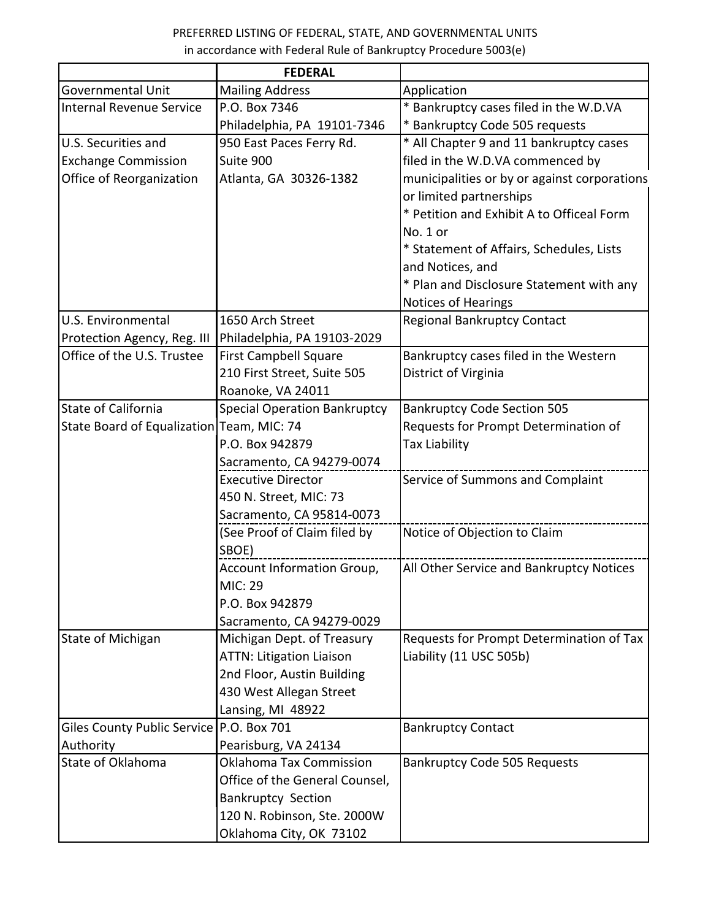## PREFERRED LISTING OF FEDERAL, STATE, AND GOVERNMENTAL UNITS in accordance with Federal Rule of Bankruptcy Procedure 5003(e)

|                                           | <b>FEDERAL</b>                      |                                              |
|-------------------------------------------|-------------------------------------|----------------------------------------------|
| <b>Governmental Unit</b>                  | <b>Mailing Address</b>              | Application                                  |
| <b>Internal Revenue Service</b>           | P.O. Box 7346                       | * Bankruptcy cases filed in the W.D.VA       |
|                                           | Philadelphia, PA 19101-7346         | * Bankruptcy Code 505 requests               |
| U.S. Securities and                       | 950 East Paces Ferry Rd.            | * All Chapter 9 and 11 bankruptcy cases      |
| <b>Exchange Commission</b>                | Suite 900                           | filed in the W.D.VA commenced by             |
| Office of Reorganization                  | Atlanta, GA 30326-1382              | municipalities or by or against corporations |
|                                           |                                     | or limited partnerships                      |
|                                           |                                     | * Petition and Exhibit A to Officeal Form    |
|                                           |                                     | No. 1 or                                     |
|                                           |                                     | * Statement of Affairs, Schedules, Lists     |
|                                           |                                     | and Notices, and                             |
|                                           |                                     | * Plan and Disclosure Statement with any     |
|                                           |                                     | <b>Notices of Hearings</b>                   |
| U.S. Environmental                        | 1650 Arch Street                    | <b>Regional Bankruptcy Contact</b>           |
| Protection Agency, Reg. III               | Philadelphia, PA 19103-2029         |                                              |
| Office of the U.S. Trustee                | <b>First Campbell Square</b>        | Bankruptcy cases filed in the Western        |
|                                           | 210 First Street, Suite 505         | District of Virginia                         |
|                                           | Roanoke, VA 24011                   |                                              |
| <b>State of California</b>                | <b>Special Operation Bankruptcy</b> | <b>Bankruptcy Code Section 505</b>           |
| State Board of Equalization Team, MIC: 74 |                                     | Requests for Prompt Determination of         |
|                                           | P.O. Box 942879                     | <b>Tax Liability</b>                         |
|                                           | Sacramento, CA 94279-0074           |                                              |
|                                           | <b>Executive Director</b>           | Service of Summons and Complaint             |
|                                           | 450 N. Street, MIC: 73              |                                              |
|                                           | Sacramento, CA 95814-0073           |                                              |
|                                           | (See Proof of Claim filed by        | Notice of Objection to Claim                 |
|                                           | SBOE)                               |                                              |
|                                           | Account Information Group,          | All Other Service and Bankruptcy Notices     |
|                                           | <b>MIC: 29</b>                      |                                              |
|                                           | P.O. Box 942879                     |                                              |
|                                           | Sacramento, CA 94279-0029           |                                              |
| State of Michigan                         | Michigan Dept. of Treasury          | Requests for Prompt Determination of Tax     |
|                                           | <b>ATTN: Litigation Liaison</b>     | Liability (11 USC 505b)                      |
|                                           | 2nd Floor, Austin Building          |                                              |
|                                           | 430 West Allegan Street             |                                              |
|                                           | Lansing, MI 48922                   |                                              |
| Giles County Public Service               | P.O. Box 701                        | <b>Bankruptcy Contact</b>                    |
| Authority                                 | Pearisburg, VA 24134                |                                              |
| State of Oklahoma                         | Oklahoma Tax Commission             | <b>Bankruptcy Code 505 Requests</b>          |
|                                           | Office of the General Counsel,      |                                              |
|                                           | <b>Bankruptcy Section</b>           |                                              |
|                                           | 120 N. Robinson, Ste. 2000W         |                                              |
|                                           | Oklahoma City, OK 73102             |                                              |